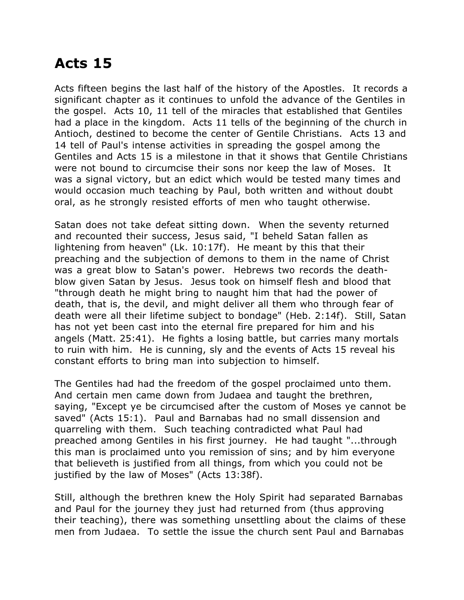## **Acts 15**

Acts fifteen begins the last half of the history of the Apostles. It records a significant chapter as it continues to unfold the advance of the Gentiles in the gospel. Acts 10, 11 tell of the miracles that established that Gentiles had a place in the kingdom. Acts 11 tells of the beginning of the church in Antioch, destined to become the center of Gentile Christians. Acts 13 and 14 tell of Paul's intense activities in spreading the gospel among the Gentiles and Acts 15 is a milestone in that it shows that Gentile Christians were not bound to circumcise their sons nor keep the law of Moses. It was a signal victory, but an edict which would be tested many times and would occasion much teaching by Paul, both written and without doubt oral, as he strongly resisted efforts of men who taught otherwise.

Satan does not take defeat sitting down. When the seventy returned and recounted their success, Jesus said, "I beheld Satan fallen as lightening from heaven" (Lk. 10:17f). He meant by this that their preaching and the subjection of demons to them in the name of Christ was a great blow to Satan's power. Hebrews two records the deathblow given Satan by Jesus. Jesus took on himself flesh and blood that "through death he might bring to naught him that had the power of death, that is, the devil, and might deliver all them who through fear of death were all their lifetime subject to bondage" (Heb. 2:14f). Still, Satan has not yet been cast into the eternal fire prepared for him and his angels (Matt. 25:41). He fights a losing battle, but carries many mortals to ruin with him. He is cunning, sly and the events of Acts 15 reveal his constant efforts to bring man into subjection to himself.

The Gentiles had had the freedom of the gospel proclaimed unto them. And certain men came down from Judaea and taught the brethren, saying, "Except ye be circumcised after the custom of Moses ye cannot be saved" (Acts 15:1). Paul and Barnabas had no small dissension and quarreling with them. Such teaching contradicted what Paul had preached among Gentiles in his first journey. He had taught "...through this man is proclaimed unto you remission of sins; and by him everyone that believeth is justified from all things, from which you could not be justified by the law of Moses" (Acts 13:38f).

Still, although the brethren knew the Holy Spirit had separated Barnabas and Paul for the journey they just had returned from (thus approving their teaching), there was something unsettling about the claims of these men from Judaea. To settle the issue the church sent Paul and Barnabas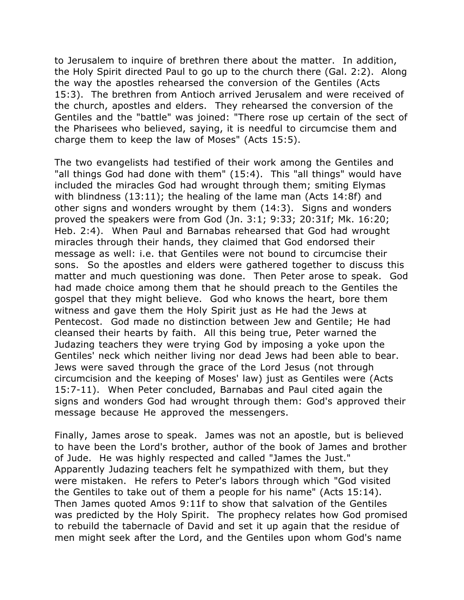to Jerusalem to inquire of brethren there about the matter. In addition, the Holy Spirit directed Paul to go up to the church there (Gal. 2:2). Along the way the apostles rehearsed the conversion of the Gentiles (Acts 15:3). The brethren from Antioch arrived Jerusalem and were received of the church, apostles and elders. They rehearsed the conversion of the Gentiles and the "battle" was joined: "There rose up certain of the sect of the Pharisees who believed, saying, it is needful to circumcise them and charge them to keep the law of Moses" (Acts 15:5).

The two evangelists had testified of their work among the Gentiles and "all things God had done with them" (15:4). This "all things" would have included the miracles God had wrought through them; smiting Elymas with blindness (13:11); the healing of the lame man (Acts 14:8f) and other signs and wonders wrought by them (14:3). Signs and wonders proved the speakers were from God (Jn. 3:1; 9:33; 20:31f; Mk. 16:20; Heb. 2:4). When Paul and Barnabas rehearsed that God had wrought miracles through their hands, they claimed that God endorsed their message as well: i.e. that Gentiles were not bound to circumcise their sons. So the apostles and elders were gathered together to discuss this matter and much questioning was done. Then Peter arose to speak. God had made choice among them that he should preach to the Gentiles the gospel that they might believe. God who knows the heart, bore them witness and gave them the Holy Spirit just as He had the Jews at Pentecost. God made no distinction between Jew and Gentile; He had cleansed their hearts by faith. All this being true, Peter warned the Judazing teachers they were trying God by imposing a yoke upon the Gentiles' neck which neither living nor dead Jews had been able to bear. Jews were saved through the grace of the Lord Jesus (not through circumcision and the keeping of Moses' law) just as Gentiles were (Acts 15:7-11). When Peter concluded, Barnabas and Paul cited again the signs and wonders God had wrought through them: God's approved their message because He approved the messengers.

Finally, James arose to speak. James was not an apostle, but is believed to have been the Lord's brother, author of the book of James and brother of Jude. He was highly respected and called "James the Just." Apparently Judazing teachers felt he sympathized with them, but they were mistaken. He refers to Peter's labors through which "God visited the Gentiles to take out of them a people for his name" (Acts 15:14). Then James quoted Amos 9:11f to show that salvation of the Gentiles was predicted by the Holy Spirit. The prophecy relates how God promised to rebuild the tabernacle of David and set it up again that the residue of men might seek after the Lord, and the Gentiles upon whom God's name